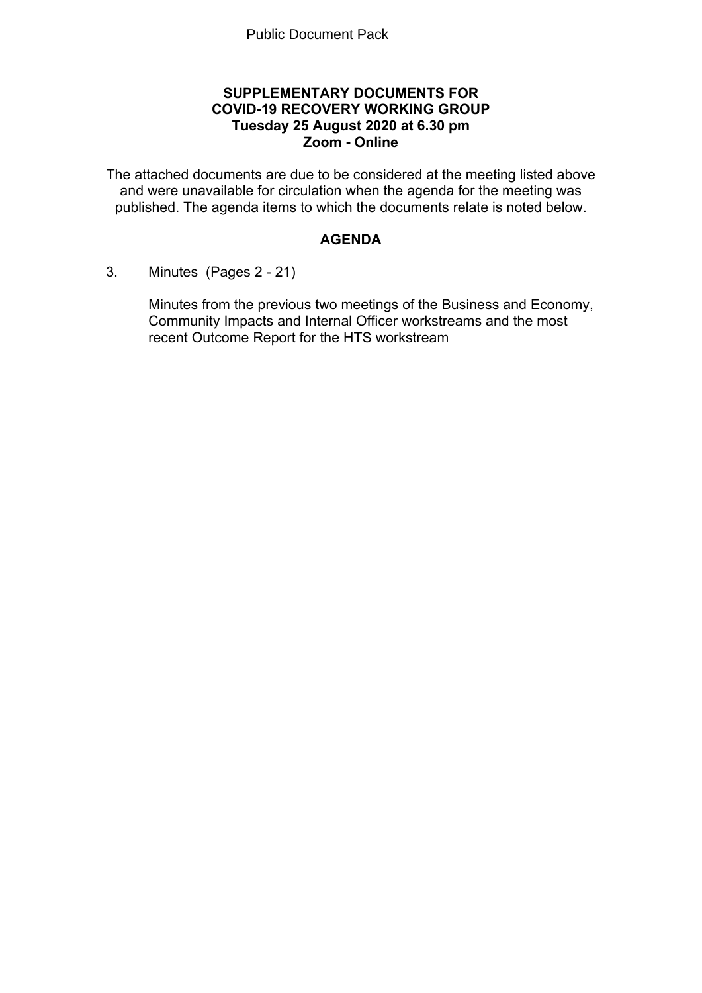#### **SUPPLEMENTARY DOCUMENTS FOR COVID-19 RECOVERY WORKING GROUP Tuesday 25 August 2020 at 6.30 pm Zoom - Online**

The attached documents are due to be considered at the meeting listed above and were unavailable for circulation when the agenda for the meeting was published. The agenda items to which the documents relate is noted below.

### **AGENDA**

3. Minutes(Pages 2 - 21)

Minutes from the previous two meetings of the Business and Economy, Community Impacts and Internal Officer workstreams and the most recent Outcome Report for the HTS workstream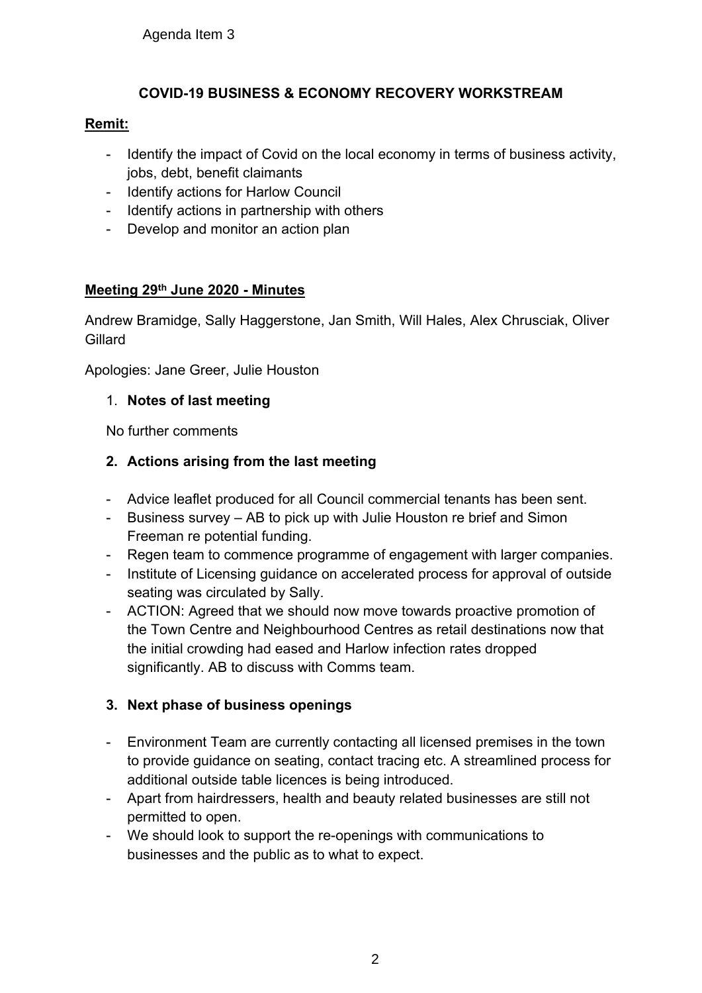Agenda Item 3

# **COVID-19 BUSINESS & ECONOMY RECOVERY WORKSTREAM**

## **Remit:**

- Identify the impact of Covid on the local economy in terms of business activity, jobs, debt, benefit claimants
- Identify actions for Harlow Council
- Identify actions in partnership with others
- Develop and monitor an action plan

# **Meeting 29th June 2020 - Minutes**

Andrew Bramidge, Sally Haggerstone, Jan Smith, Will Hales, Alex Chrusciak, Oliver **Gillard** 

Apologies: Jane Greer, Julie Houston

## 1. **Notes of last meeting**

No further comments

# **2. Actions arising from the last meeting**

- Advice leaflet produced for all Council commercial tenants has been sent.
- Business survey AB to pick up with Julie Houston re brief and Simon Freeman re potential funding.
- Regen team to commence programme of engagement with larger companies.
- Institute of Licensing guidance on accelerated process for approval of outside seating was circulated by Sally.
- ACTION: Agreed that we should now move towards proactive promotion of the Town Centre and Neighbourhood Centres as retail destinations now that the initial crowding had eased and Harlow infection rates dropped significantly. AB to discuss with Comms team.

# **3. Next phase of business openings**

- Environment Team are currently contacting all licensed premises in the town to provide guidance on seating, contact tracing etc. A streamlined process for additional outside table licences is being introduced.
- Apart from hairdressers, health and beauty related businesses are still not permitted to open.
- We should look to support the re-openings with communications to businesses and the public as to what to expect.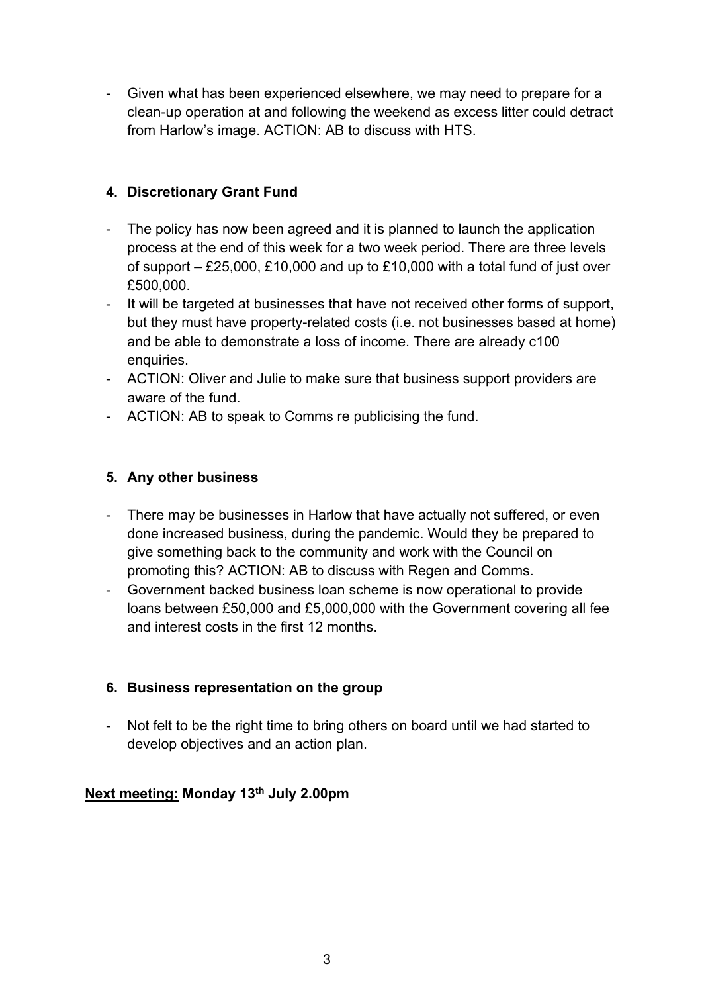- Given what has been experienced elsewhere, we may need to prepare for a clean-up operation at and following the weekend as excess litter could detract from Harlow's image. ACTION: AB to discuss with HTS.

# **4. Discretionary Grant Fund**

- The policy has now been agreed and it is planned to launch the application process at the end of this week for a two week period. There are three levels of support – £25,000, £10,000 and up to £10,000 with a total fund of just over £500,000.
- It will be targeted at businesses that have not received other forms of support, but they must have property-related costs (i.e. not businesses based at home) and be able to demonstrate a loss of income. There are already c100 enquiries.
- ACTION: Oliver and Julie to make sure that business support providers are aware of the fund.
- ACTION: AB to speak to Comms re publicising the fund.

# **5. Any other business**

- There may be businesses in Harlow that have actually not suffered, or even done increased business, during the pandemic. Would they be prepared to give something back to the community and work with the Council on promoting this? ACTION: AB to discuss with Regen and Comms.
- Government backed business loan scheme is now operational to provide loans between £50,000 and £5,000,000 with the Government covering all fee and interest costs in the first 12 months.

# **6. Business representation on the group**

- Not felt to be the right time to bring others on board until we had started to develop objectives and an action plan.

### **Next meeting: Monday 13th July 2.00pm**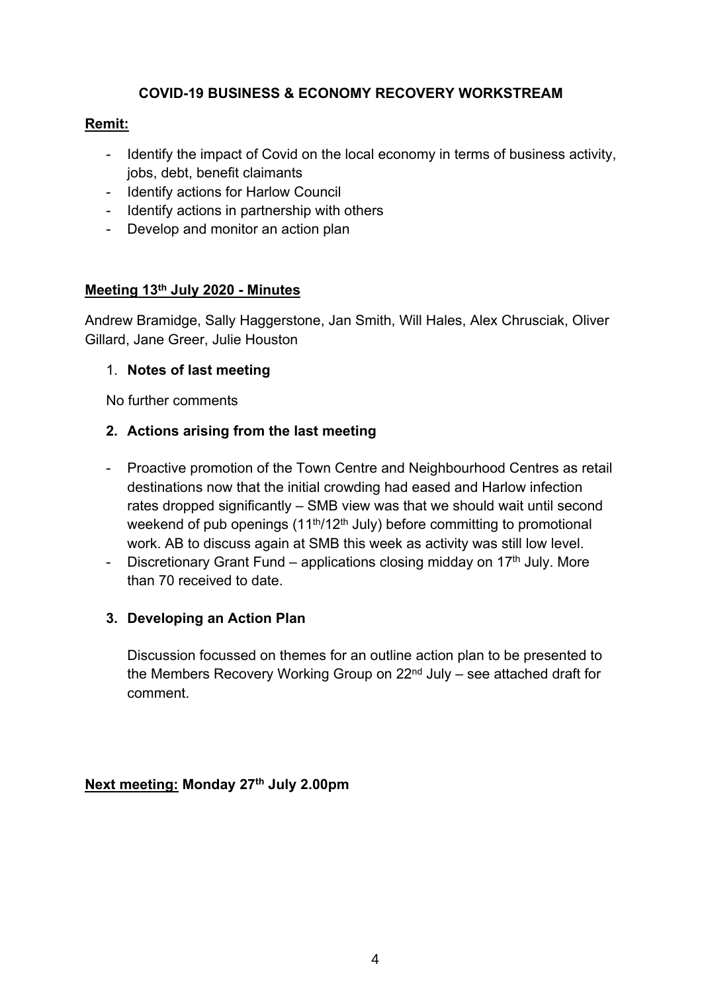## **COVID-19 BUSINESS & ECONOMY RECOVERY WORKSTREAM**

## **Remit:**

- Identify the impact of Covid on the local economy in terms of business activity, jobs, debt, benefit claimants
- Identify actions for Harlow Council
- Identify actions in partnership with others
- Develop and monitor an action plan

### **Meeting 13th July 2020 - Minutes**

Andrew Bramidge, Sally Haggerstone, Jan Smith, Will Hales, Alex Chrusciak, Oliver Gillard, Jane Greer, Julie Houston

### 1. **Notes of last meeting**

No further comments

### **2. Actions arising from the last meeting**

- Proactive promotion of the Town Centre and Neighbourhood Centres as retail destinations now that the initial crowding had eased and Harlow infection rates dropped significantly – SMB view was that we should wait until second weekend of pub openings  $(11<sup>th</sup>/12<sup>th</sup>$  July) before committing to promotional work. AB to discuss again at SMB this week as activity was still low level.
- Discretionary Grant Fund applications closing midday on  $17<sup>th</sup>$  July. More than 70 received to date.

### **3. Developing an Action Plan**

Discussion focussed on themes for an outline action plan to be presented to the Members Recovery Working Group on 22nd July – see attached draft for comment.

**Next meeting: Monday 27th July 2.00pm**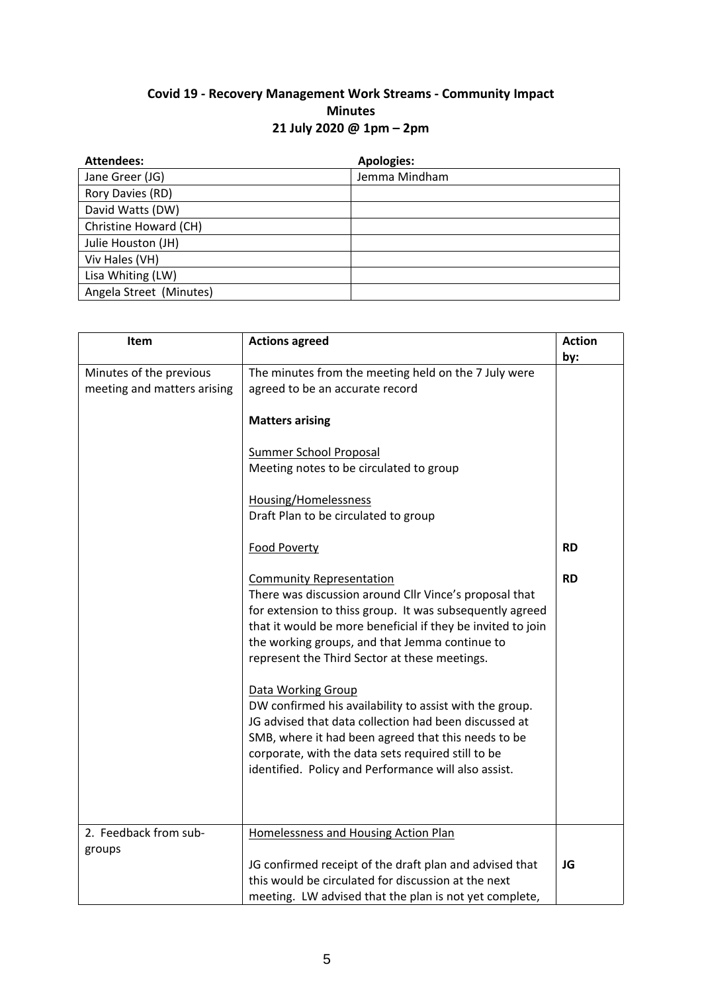## **Covid 19 - Recovery Management Work Streams - Community Impact Minutes 21 July 2020 @ 1pm – 2pm**

| <b>Attendees:</b>       | <b>Apologies:</b> |
|-------------------------|-------------------|
| Jane Greer (JG)         | Jemma Mindham     |
| Rory Davies (RD)        |                   |
| David Watts (DW)        |                   |
| Christine Howard (CH)   |                   |
| Julie Houston (JH)      |                   |
| Viv Hales (VH)          |                   |
| Lisa Whiting (LW)       |                   |
| Angela Street (Minutes) |                   |

| Item                        | <b>Actions agreed</b>                                                                                              | <b>Action</b> |
|-----------------------------|--------------------------------------------------------------------------------------------------------------------|---------------|
|                             |                                                                                                                    | by:           |
| Minutes of the previous     | The minutes from the meeting held on the 7 July were                                                               |               |
| meeting and matters arising | agreed to be an accurate record                                                                                    |               |
|                             |                                                                                                                    |               |
|                             | <b>Matters arising</b>                                                                                             |               |
|                             |                                                                                                                    |               |
|                             | <b>Summer School Proposal</b><br>Meeting notes to be circulated to group                                           |               |
|                             |                                                                                                                    |               |
|                             | Housing/Homelessness                                                                                               |               |
|                             | Draft Plan to be circulated to group                                                                               |               |
|                             |                                                                                                                    |               |
|                             | <b>Food Poverty</b>                                                                                                | <b>RD</b>     |
|                             |                                                                                                                    |               |
|                             | <b>Community Representation</b>                                                                                    | <b>RD</b>     |
|                             | There was discussion around Cllr Vince's proposal that<br>for extension to thiss group. It was subsequently agreed |               |
|                             | that it would be more beneficial if they be invited to join                                                        |               |
|                             | the working groups, and that Jemma continue to                                                                     |               |
|                             | represent the Third Sector at these meetings.                                                                      |               |
|                             |                                                                                                                    |               |
|                             | <b>Data Working Group</b>                                                                                          |               |
|                             | DW confirmed his availability to assist with the group.                                                            |               |
|                             | JG advised that data collection had been discussed at                                                              |               |
|                             | SMB, where it had been agreed that this needs to be                                                                |               |
|                             | corporate, with the data sets required still to be                                                                 |               |
|                             | identified. Policy and Performance will also assist.                                                               |               |
|                             |                                                                                                                    |               |
|                             |                                                                                                                    |               |
| 2. Feedback from sub-       | Homelessness and Housing Action Plan                                                                               |               |
| groups                      |                                                                                                                    |               |
|                             | JG confirmed receipt of the draft plan and advised that                                                            | JG            |
|                             | this would be circulated for discussion at the next                                                                |               |
|                             | meeting. LW advised that the plan is not yet complete,                                                             |               |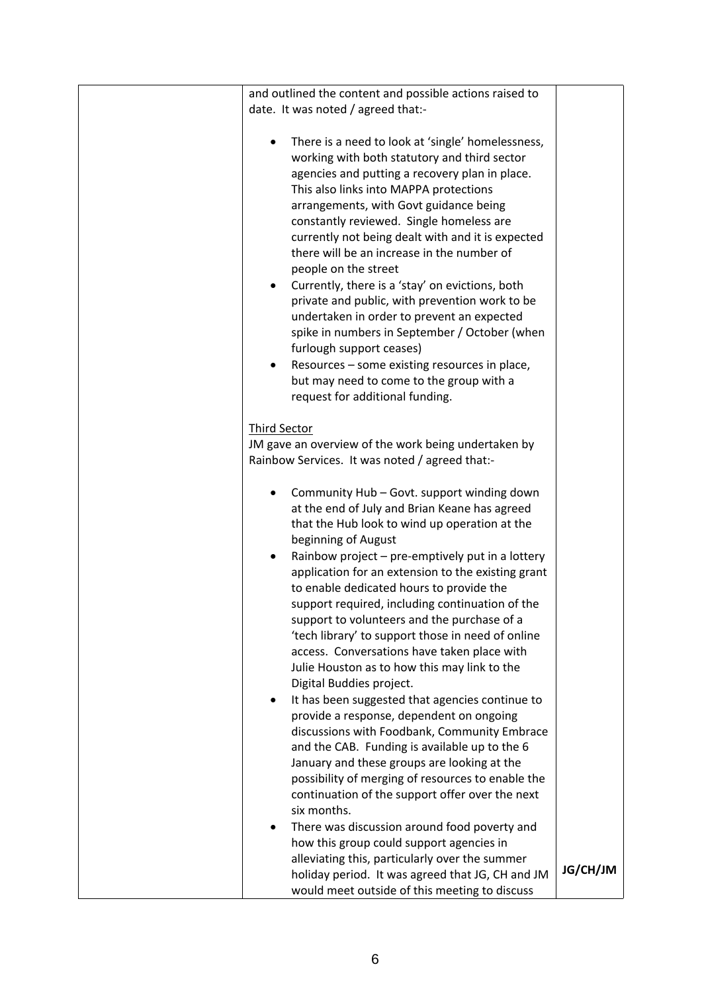| JG/CH/JM |
|----------|
|          |
|          |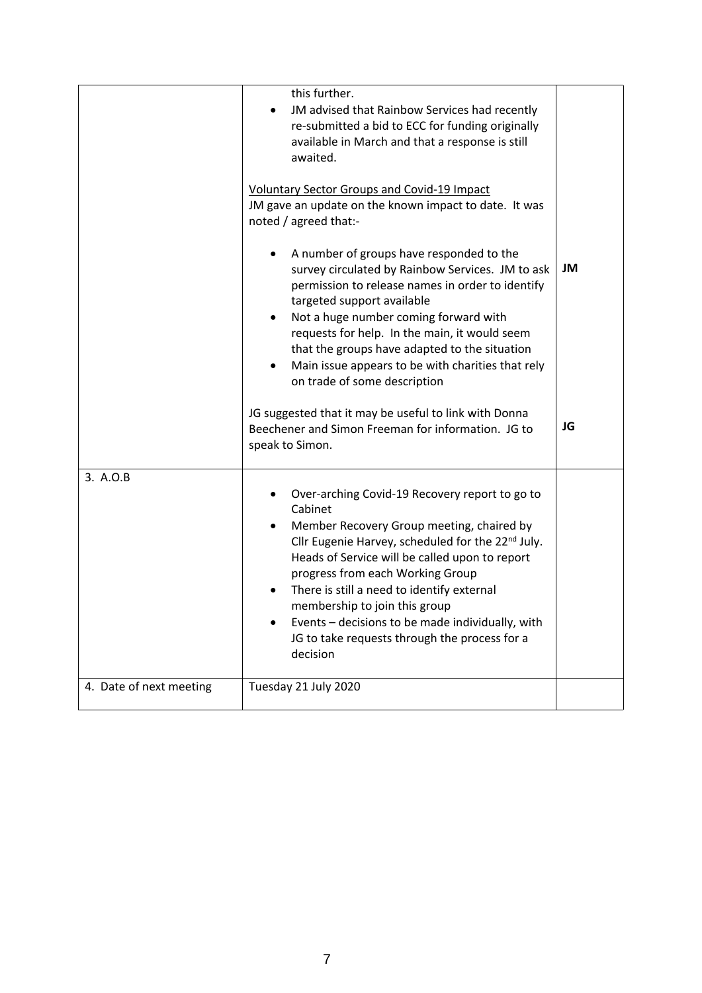|                         | this further.<br>JM advised that Rainbow Services had recently<br>re-submitted a bid to ECC for funding originally<br>available in March and that a response is still<br>awaited.<br><b>Voluntary Sector Groups and Covid-19 Impact</b><br>JM gave an update on the known impact to date. It was<br>noted / agreed that:-<br>A number of groups have responded to the<br>survey circulated by Rainbow Services. JM to ask<br>permission to release names in order to identify<br>targeted support available<br>Not a huge number coming forward with<br>$\bullet$<br>requests for help. In the main, it would seem<br>that the groups have adapted to the situation<br>Main issue appears to be with charities that rely | JM |
|-------------------------|--------------------------------------------------------------------------------------------------------------------------------------------------------------------------------------------------------------------------------------------------------------------------------------------------------------------------------------------------------------------------------------------------------------------------------------------------------------------------------------------------------------------------------------------------------------------------------------------------------------------------------------------------------------------------------------------------------------------------|----|
|                         | on trade of some description<br>JG suggested that it may be useful to link with Donna<br>Beechener and Simon Freeman for information. JG to<br>speak to Simon.                                                                                                                                                                                                                                                                                                                                                                                                                                                                                                                                                           | JG |
| 3. A.O.B                | Over-arching Covid-19 Recovery report to go to<br>Cabinet<br>Member Recovery Group meeting, chaired by<br>$\bullet$<br>Cllr Eugenie Harvey, scheduled for the 22 <sup>nd</sup> July.<br>Heads of Service will be called upon to report<br>progress from each Working Group<br>There is still a need to identify external<br>membership to join this group<br>Events - decisions to be made individually, with<br>JG to take requests through the process for a<br>decision                                                                                                                                                                                                                                               |    |
| 4. Date of next meeting | Tuesday 21 July 2020                                                                                                                                                                                                                                                                                                                                                                                                                                                                                                                                                                                                                                                                                                     |    |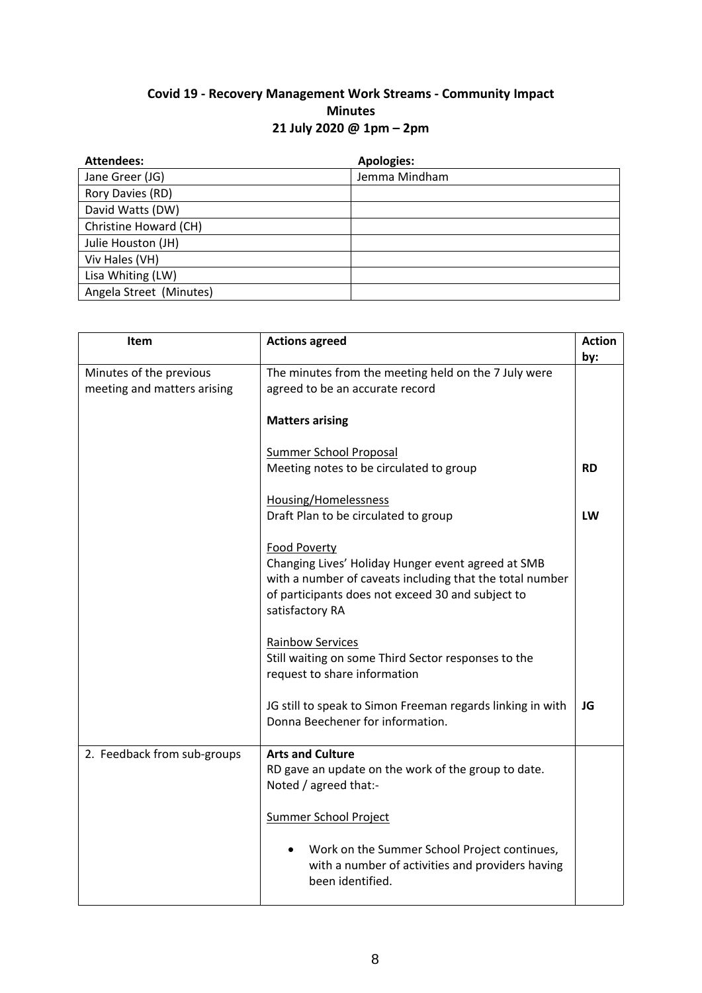## **Covid 19 - Recovery Management Work Streams - Community Impact Minutes 21 July 2020 @ 1pm – 2pm**

| <b>Attendees:</b>       | <b>Apologies:</b> |
|-------------------------|-------------------|
| Jane Greer (JG)         | Jemma Mindham     |
| Rory Davies (RD)        |                   |
| David Watts (DW)        |                   |
| Christine Howard (CH)   |                   |
| Julie Houston (JH)      |                   |
| Viv Hales (VH)          |                   |
| Lisa Whiting (LW)       |                   |
| Angela Street (Minutes) |                   |

| Item                                                   | <b>Actions agreed</b>                                                                                                                                                                                  | <b>Action</b><br>by: |
|--------------------------------------------------------|--------------------------------------------------------------------------------------------------------------------------------------------------------------------------------------------------------|----------------------|
| Minutes of the previous<br>meeting and matters arising | The minutes from the meeting held on the 7 July were<br>agreed to be an accurate record                                                                                                                |                      |
|                                                        | <b>Matters arising</b>                                                                                                                                                                                 |                      |
|                                                        | Summer School Proposal<br>Meeting notes to be circulated to group                                                                                                                                      | <b>RD</b>            |
|                                                        | Housing/Homelessness<br>Draft Plan to be circulated to group                                                                                                                                           | LW                   |
|                                                        | Food Poverty<br>Changing Lives' Holiday Hunger event agreed at SMB<br>with a number of caveats including that the total number<br>of participants does not exceed 30 and subject to<br>satisfactory RA |                      |
|                                                        | <b>Rainbow Services</b><br>Still waiting on some Third Sector responses to the<br>request to share information                                                                                         |                      |
|                                                        | JG still to speak to Simon Freeman regards linking in with<br>Donna Beechener for information.                                                                                                         | JG                   |
| 2. Feedback from sub-groups                            | <b>Arts and Culture</b><br>RD gave an update on the work of the group to date.<br>Noted / agreed that:-                                                                                                |                      |
|                                                        | <b>Summer School Project</b>                                                                                                                                                                           |                      |
|                                                        | Work on the Summer School Project continues,<br>with a number of activities and providers having<br>been identified.                                                                                   |                      |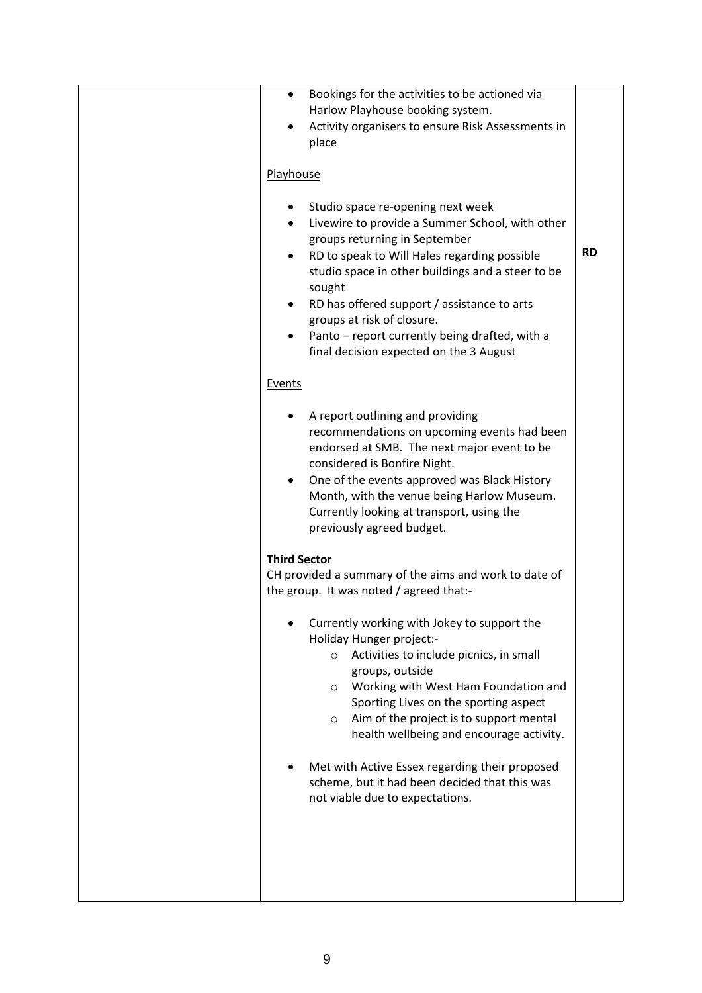| Bookings for the activities to be actioned via<br>$\bullet$<br>Harlow Playhouse booking system.<br>Activity organisers to ensure Risk Assessments in<br>place<br>Playhouse                                                                                                                                                                                                                                                                                                                                                                                                                                                                                                                                                                                                                                                                                                                                                                                          |           |
|---------------------------------------------------------------------------------------------------------------------------------------------------------------------------------------------------------------------------------------------------------------------------------------------------------------------------------------------------------------------------------------------------------------------------------------------------------------------------------------------------------------------------------------------------------------------------------------------------------------------------------------------------------------------------------------------------------------------------------------------------------------------------------------------------------------------------------------------------------------------------------------------------------------------------------------------------------------------|-----------|
| Studio space re-opening next week<br>Livewire to provide a Summer School, with other<br>$\bullet$<br>groups returning in September<br>RD to speak to Will Hales regarding possible<br>studio space in other buildings and a steer to be<br>sought<br>RD has offered support / assistance to arts<br>groups at risk of closure.<br>Panto - report currently being drafted, with a<br>final decision expected on the 3 August                                                                                                                                                                                                                                                                                                                                                                                                                                                                                                                                         | <b>RD</b> |
| Events<br>A report outlining and providing<br>recommendations on upcoming events had been<br>endorsed at SMB. The next major event to be<br>considered is Bonfire Night.<br>One of the events approved was Black History<br>Month, with the venue being Harlow Museum.<br>Currently looking at transport, using the<br>previously agreed budget.<br><b>Third Sector</b><br>CH provided a summary of the aims and work to date of<br>the group. It was noted / agreed that:-<br>Currently working with Jokey to support the<br>Holiday Hunger project:-<br>Activities to include picnics, in small<br>$\circ$<br>groups, outside<br>Working with West Ham Foundation and<br>$\circ$<br>Sporting Lives on the sporting aspect<br>Aim of the project is to support mental<br>$\circ$<br>health wellbeing and encourage activity.<br>Met with Active Essex regarding their proposed<br>scheme, but it had been decided that this was<br>not viable due to expectations. |           |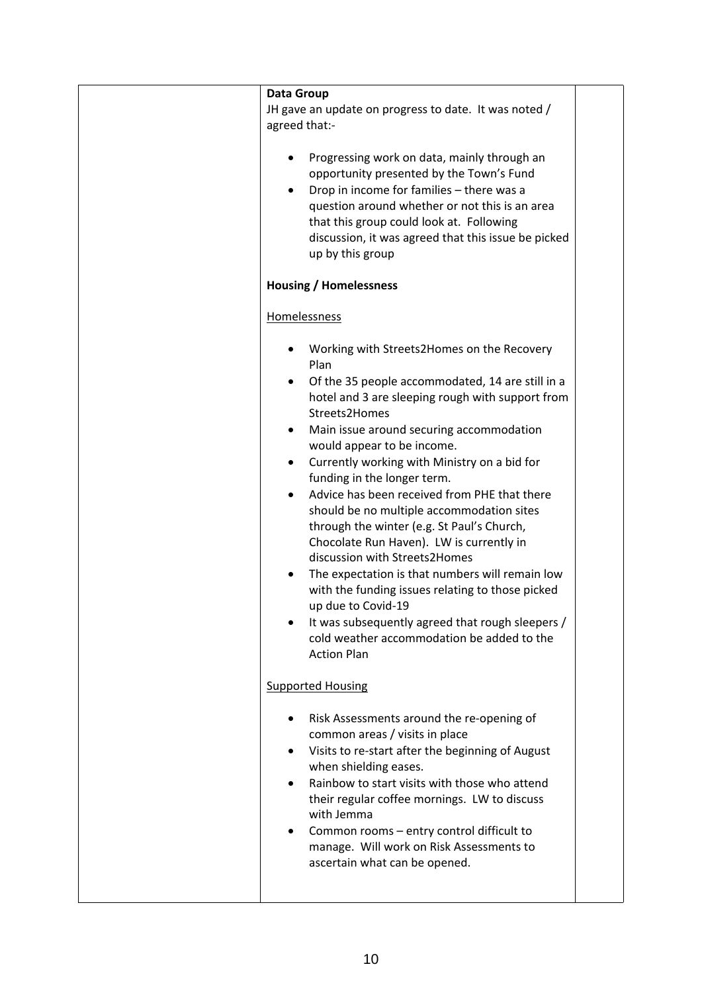| Data Group<br>JH gave an update on progress to date. It was noted /<br>agreed that:-<br>Progressing work on data, mainly through an<br>opportunity presented by the Town's Fund<br>Drop in income for families - there was a<br>question around whether or not this is an area<br>that this group could look at. Following<br>discussion, it was agreed that this issue be picked<br>up by this group<br><b>Housing / Homelessness</b>                                                                                                                                                                                                                                                                                                                                                                                                         |  |
|------------------------------------------------------------------------------------------------------------------------------------------------------------------------------------------------------------------------------------------------------------------------------------------------------------------------------------------------------------------------------------------------------------------------------------------------------------------------------------------------------------------------------------------------------------------------------------------------------------------------------------------------------------------------------------------------------------------------------------------------------------------------------------------------------------------------------------------------|--|
| Homelessness<br>Working with Streets2Homes on the Recovery<br>Plan<br>Of the 35 people accommodated, 14 are still in a<br>hotel and 3 are sleeping rough with support from<br>Streets2Homes<br>Main issue around securing accommodation<br>would appear to be income.<br>Currently working with Ministry on a bid for<br>$\bullet$<br>funding in the longer term.<br>Advice has been received from PHE that there<br>should be no multiple accommodation sites<br>through the winter (e.g. St Paul's Church,<br>Chocolate Run Haven). LW is currently in<br>discussion with Streets2Homes<br>The expectation is that numbers will remain low<br>with the funding issues relating to those picked<br>up due to Covid-19<br>It was subsequently agreed that rough sleepers /<br>cold weather accommodation be added to the<br><b>Action Plan</b> |  |
| <b>Supported Housing</b><br>Risk Assessments around the re-opening of<br>common areas / visits in place<br>Visits to re-start after the beginning of August<br>when shielding eases.<br>Rainbow to start visits with those who attend<br>their regular coffee mornings. LW to discuss<br>with Jemma<br>Common rooms - entry control difficult to<br>manage. Will work on Risk Assessments to<br>ascertain what can be opened.                                                                                                                                                                                                                                                                                                                                                                                                                  |  |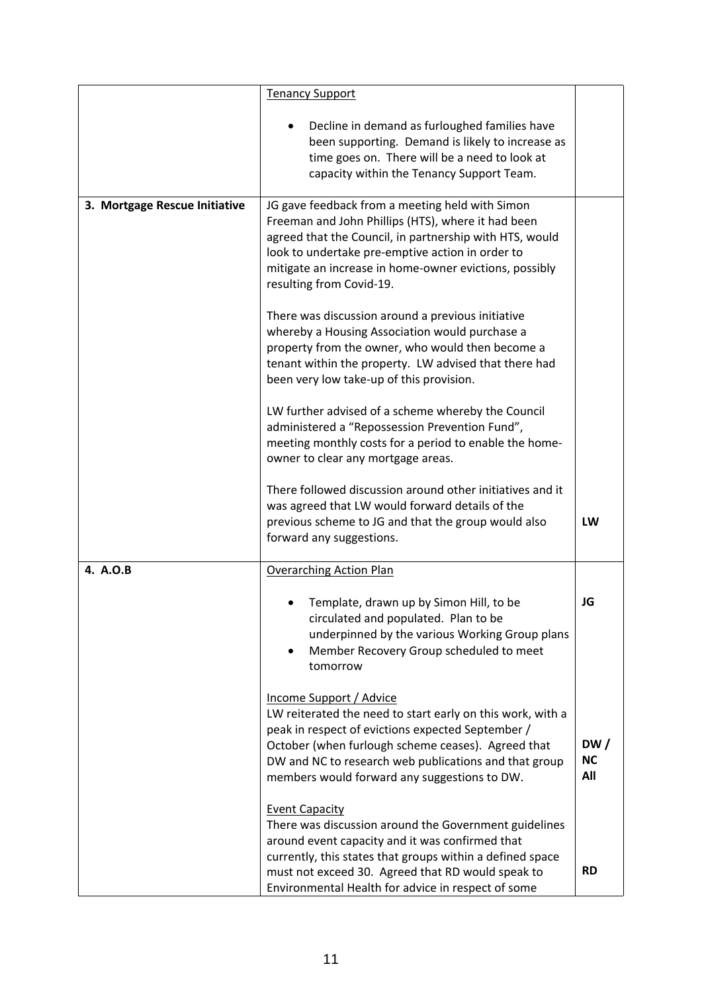|                               | <b>Tenancy Support</b>                                                                                                                                                                                                                                                                                     |                         |
|-------------------------------|------------------------------------------------------------------------------------------------------------------------------------------------------------------------------------------------------------------------------------------------------------------------------------------------------------|-------------------------|
|                               | Decline in demand as furloughed families have<br>been supporting. Demand is likely to increase as<br>time goes on. There will be a need to look at<br>capacity within the Tenancy Support Team.                                                                                                            |                         |
| 3. Mortgage Rescue Initiative | JG gave feedback from a meeting held with Simon<br>Freeman and John Phillips (HTS), where it had been<br>agreed that the Council, in partnership with HTS, would<br>look to undertake pre-emptive action in order to<br>mitigate an increase in home-owner evictions, possibly<br>resulting from Covid-19. |                         |
|                               | There was discussion around a previous initiative<br>whereby a Housing Association would purchase a<br>property from the owner, who would then become a<br>tenant within the property. LW advised that there had<br>been very low take-up of this provision.                                               |                         |
|                               | LW further advised of a scheme whereby the Council<br>administered a "Repossession Prevention Fund",<br>meeting monthly costs for a period to enable the home-<br>owner to clear any mortgage areas.                                                                                                       |                         |
|                               | There followed discussion around other initiatives and it<br>was agreed that LW would forward details of the<br>previous scheme to JG and that the group would also<br>forward any suggestions.                                                                                                            | LW                      |
| 4. A.O.B                      | <b>Overarching Action Plan</b>                                                                                                                                                                                                                                                                             |                         |
|                               | Template, drawn up by Simon Hill, to be<br>circulated and populated. Plan to be<br>underpinned by the various Working Group plans<br>Member Recovery Group scheduled to meet<br>tomorrow                                                                                                                   | JG                      |
|                               | Income Support / Advice<br>LW reiterated the need to start early on this work, with a<br>peak in respect of evictions expected September /<br>October (when furlough scheme ceases). Agreed that<br>DW and NC to research web publications and that group<br>members would forward any suggestions to DW.  | DW/<br><b>NC</b><br>All |
|                               | <b>Event Capacity</b><br>There was discussion around the Government guidelines<br>around event capacity and it was confirmed that<br>currently, this states that groups within a defined space<br>must not exceed 30. Agreed that RD would speak to<br>Environmental Health for advice in respect of some  | <b>RD</b>               |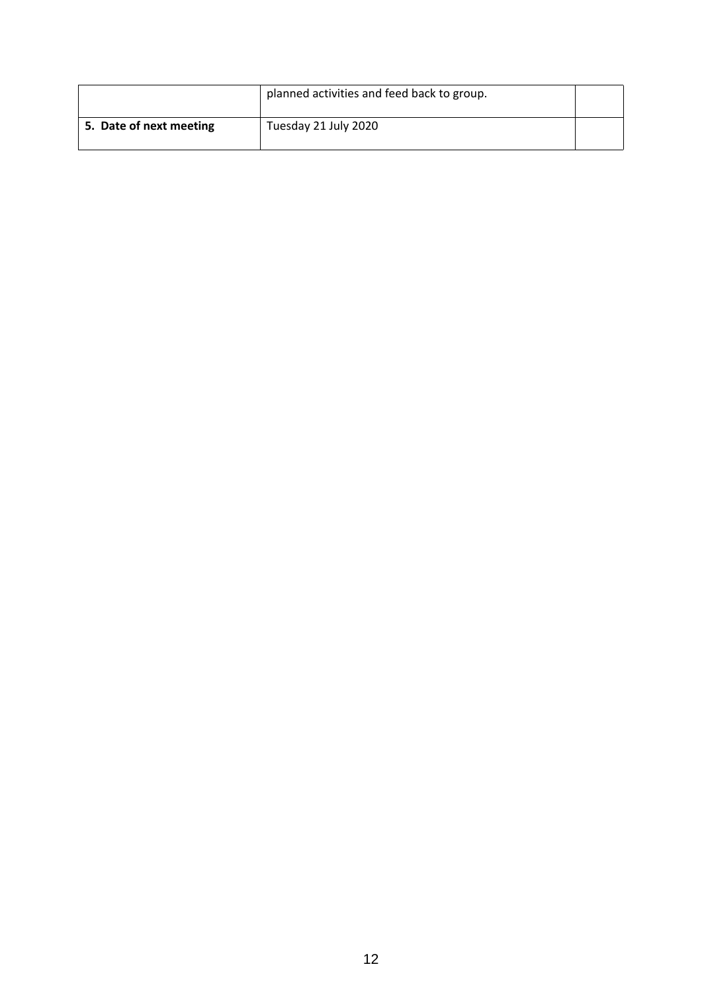|                         | planned activities and feed back to group. |  |
|-------------------------|--------------------------------------------|--|
| 5. Date of next meeting | Tuesday 21 July 2020                       |  |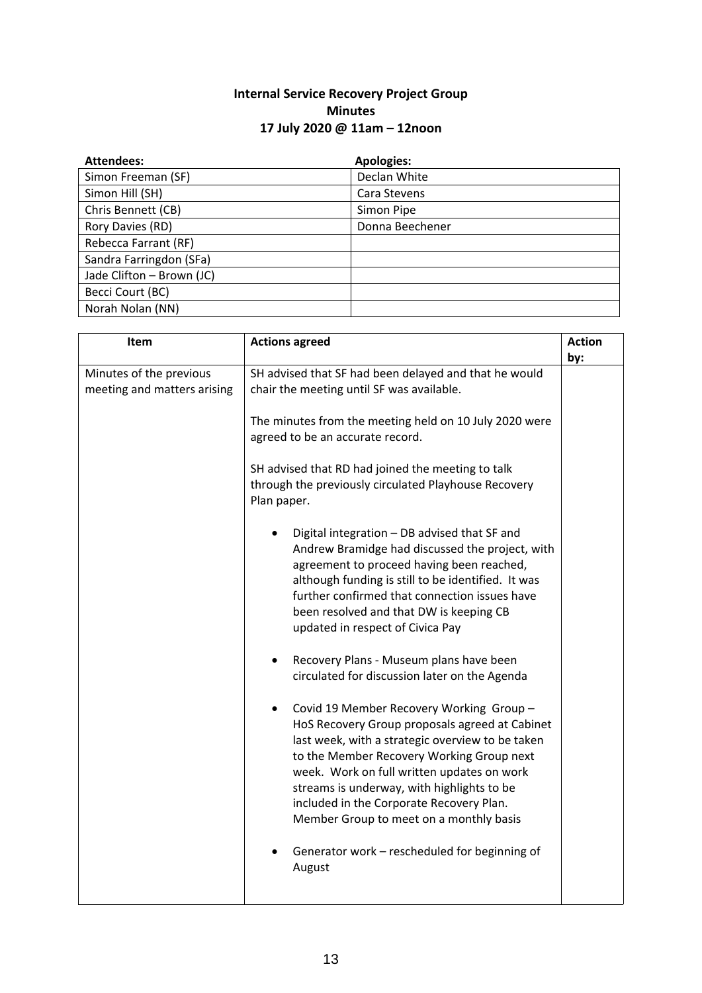## **Internal Service Recovery Project Group Minutes 17 July 2020 @ 11am – 12noon**

| <b>Attendees:</b>         | <b>Apologies:</b> |
|---------------------------|-------------------|
| Simon Freeman (SF)        | Declan White      |
| Simon Hill (SH)           | Cara Stevens      |
| Chris Bennett (CB)        | Simon Pipe        |
| Rory Davies (RD)          | Donna Beechener   |
| Rebecca Farrant (RF)      |                   |
| Sandra Farringdon (SFa)   |                   |
| Jade Clifton - Brown (JC) |                   |
| Becci Court (BC)          |                   |
| Norah Nolan (NN)          |                   |

| Item                                                   | <b>Actions agreed</b>                                                                                                                                                                                                                                                                                                                                                                                                                                                                                                                                                                                                                                                                                                                                                                                                                                                                                                                                                                                                                                                                                                                           | <b>Action</b> |
|--------------------------------------------------------|-------------------------------------------------------------------------------------------------------------------------------------------------------------------------------------------------------------------------------------------------------------------------------------------------------------------------------------------------------------------------------------------------------------------------------------------------------------------------------------------------------------------------------------------------------------------------------------------------------------------------------------------------------------------------------------------------------------------------------------------------------------------------------------------------------------------------------------------------------------------------------------------------------------------------------------------------------------------------------------------------------------------------------------------------------------------------------------------------------------------------------------------------|---------------|
|                                                        |                                                                                                                                                                                                                                                                                                                                                                                                                                                                                                                                                                                                                                                                                                                                                                                                                                                                                                                                                                                                                                                                                                                                                 | by:           |
| Minutes of the previous<br>meeting and matters arising | SH advised that SF had been delayed and that he would<br>chair the meeting until SF was available.<br>The minutes from the meeting held on 10 July 2020 were<br>agreed to be an accurate record.<br>SH advised that RD had joined the meeting to talk<br>through the previously circulated Playhouse Recovery<br>Plan paper.<br>Digital integration - DB advised that SF and<br>Andrew Bramidge had discussed the project, with<br>agreement to proceed having been reached,<br>although funding is still to be identified. It was<br>further confirmed that connection issues have<br>been resolved and that DW is keeping CB<br>updated in respect of Civica Pay<br>Recovery Plans - Museum plans have been<br>circulated for discussion later on the Agenda<br>Covid 19 Member Recovery Working Group-<br>HoS Recovery Group proposals agreed at Cabinet<br>last week, with a strategic overview to be taken<br>to the Member Recovery Working Group next<br>week. Work on full written updates on work<br>streams is underway, with highlights to be<br>included in the Corporate Recovery Plan.<br>Member Group to meet on a monthly basis |               |
|                                                        | Generator work - rescheduled for beginning of<br>August                                                                                                                                                                                                                                                                                                                                                                                                                                                                                                                                                                                                                                                                                                                                                                                                                                                                                                                                                                                                                                                                                         |               |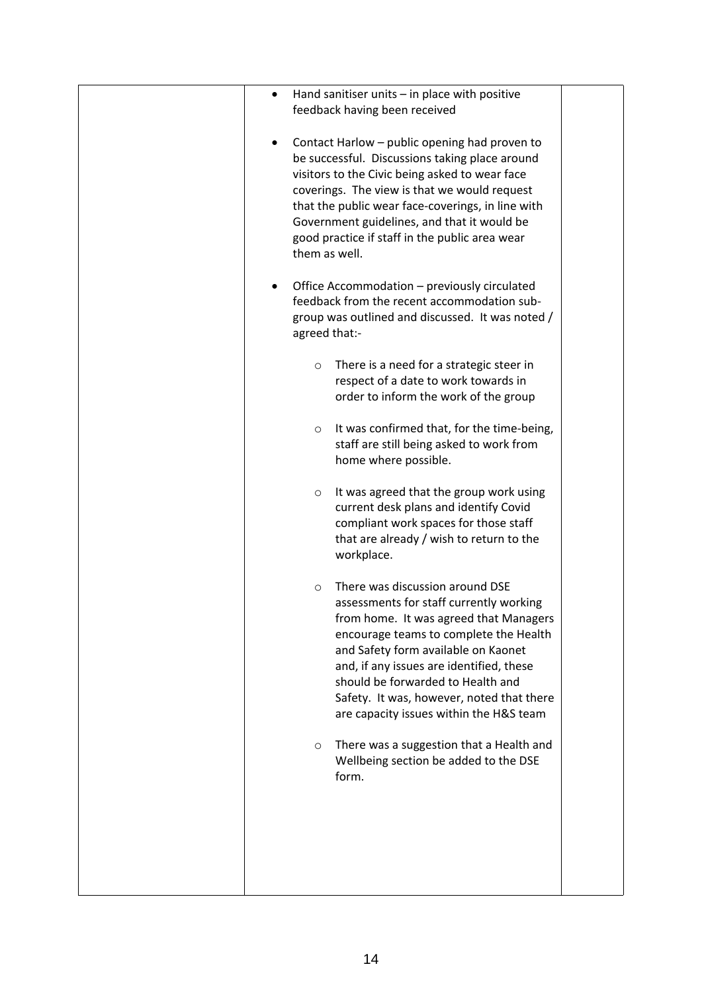| Hand sanitiser units $-$ in place with positive<br>$\bullet$<br>feedback having been received                                                                                                                                                                                                                                                                                             |  |
|-------------------------------------------------------------------------------------------------------------------------------------------------------------------------------------------------------------------------------------------------------------------------------------------------------------------------------------------------------------------------------------------|--|
| Contact Harlow - public opening had proven to<br>be successful. Discussions taking place around<br>visitors to the Civic being asked to wear face<br>coverings. The view is that we would request<br>that the public wear face-coverings, in line with<br>Government guidelines, and that it would be<br>good practice if staff in the public area wear<br>them as well.                  |  |
| Office Accommodation - previously circulated<br>feedback from the recent accommodation sub-<br>group was outlined and discussed. It was noted /<br>agreed that:-                                                                                                                                                                                                                          |  |
| There is a need for a strategic steer in<br>$\circ$<br>respect of a date to work towards in<br>order to inform the work of the group                                                                                                                                                                                                                                                      |  |
| It was confirmed that, for the time-being,<br>$\circ$<br>staff are still being asked to work from<br>home where possible.                                                                                                                                                                                                                                                                 |  |
| It was agreed that the group work using<br>$\circ$<br>current desk plans and identify Covid<br>compliant work spaces for those staff<br>that are already / wish to return to the<br>workplace.                                                                                                                                                                                            |  |
| There was discussion around DSE<br>$\circ$<br>assessments for staff currently working<br>from home. It was agreed that Managers<br>encourage teams to complete the Health<br>and Safety form available on Kaonet<br>and, if any issues are identified, these<br>should be forwarded to Health and<br>Safety. It was, however, noted that there<br>are capacity issues within the H&S team |  |
| There was a suggestion that a Health and<br>$\circ$<br>Wellbeing section be added to the DSE<br>form.                                                                                                                                                                                                                                                                                     |  |
|                                                                                                                                                                                                                                                                                                                                                                                           |  |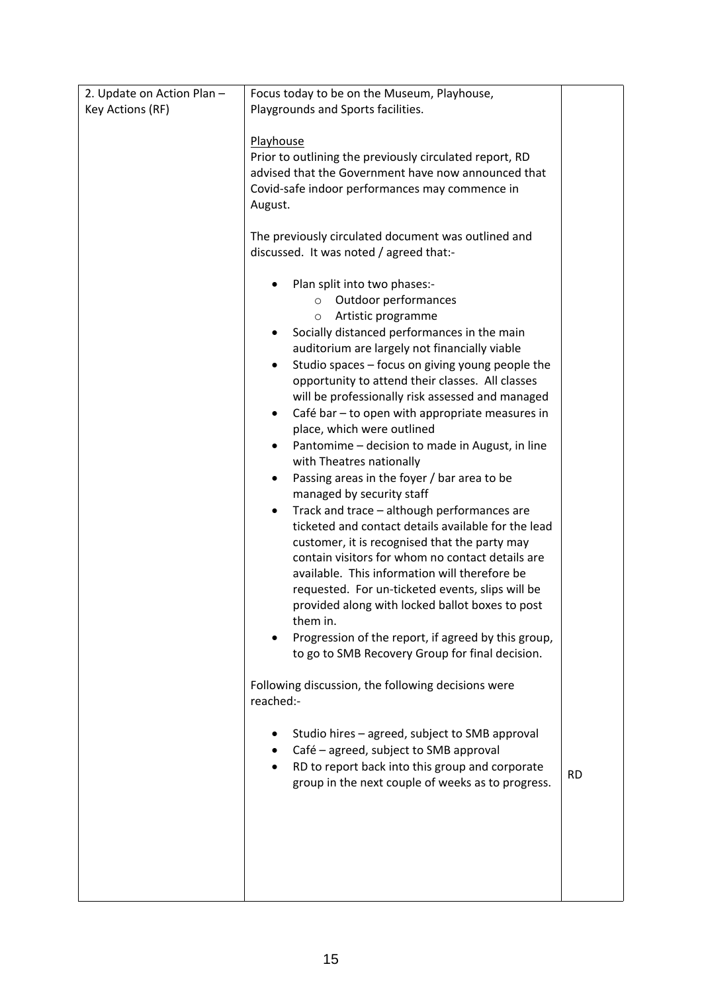| 2. Update on Action Plan - | Focus today to be on the Museum, Playhouse,                                                                                                                                                                                                                                                                                                                                                                                                                                                                                                                                                                                                                                                                                                                                                                                                                                                                                                                                                                                                                                                                                                                                                                                                                                                                                                                                                                                                                                                                                                                                                                                                                                                           |           |
|----------------------------|-------------------------------------------------------------------------------------------------------------------------------------------------------------------------------------------------------------------------------------------------------------------------------------------------------------------------------------------------------------------------------------------------------------------------------------------------------------------------------------------------------------------------------------------------------------------------------------------------------------------------------------------------------------------------------------------------------------------------------------------------------------------------------------------------------------------------------------------------------------------------------------------------------------------------------------------------------------------------------------------------------------------------------------------------------------------------------------------------------------------------------------------------------------------------------------------------------------------------------------------------------------------------------------------------------------------------------------------------------------------------------------------------------------------------------------------------------------------------------------------------------------------------------------------------------------------------------------------------------------------------------------------------------------------------------------------------------|-----------|
| Key Actions (RF)           | Playgrounds and Sports facilities.                                                                                                                                                                                                                                                                                                                                                                                                                                                                                                                                                                                                                                                                                                                                                                                                                                                                                                                                                                                                                                                                                                                                                                                                                                                                                                                                                                                                                                                                                                                                                                                                                                                                    |           |
|                            | Playhouse<br>Prior to outlining the previously circulated report, RD<br>advised that the Government have now announced that<br>Covid-safe indoor performances may commence in<br>August.<br>The previously circulated document was outlined and<br>discussed. It was noted / agreed that:-<br>Plan split into two phases:-<br>Outdoor performances<br>$\circ$<br>Artistic programme<br>$\circ$<br>Socially distanced performances in the main<br>auditorium are largely not financially viable<br>Studio spaces - focus on giving young people the<br>opportunity to attend their classes. All classes<br>will be professionally risk assessed and managed<br>Café bar - to open with appropriate measures in<br>$\bullet$<br>place, which were outlined<br>Pantomime - decision to made in August, in line<br>with Theatres nationally<br>Passing areas in the foyer / bar area to be<br>$\bullet$<br>managed by security staff<br>Track and trace - although performances are<br>٠<br>ticketed and contact details available for the lead<br>customer, it is recognised that the party may<br>contain visitors for whom no contact details are<br>available. This information will therefore be<br>requested. For un-ticketed events, slips will be<br>provided along with locked ballot boxes to post<br>them in.<br>Progression of the report, if agreed by this group,<br>to go to SMB Recovery Group for final decision.<br>Following discussion, the following decisions were<br>reached:-<br>Studio hires - agreed, subject to SMB approval<br>Café - agreed, subject to SMB approval<br>RD to report back into this group and corporate<br>group in the next couple of weeks as to progress. | <b>RD</b> |
|                            |                                                                                                                                                                                                                                                                                                                                                                                                                                                                                                                                                                                                                                                                                                                                                                                                                                                                                                                                                                                                                                                                                                                                                                                                                                                                                                                                                                                                                                                                                                                                                                                                                                                                                                       |           |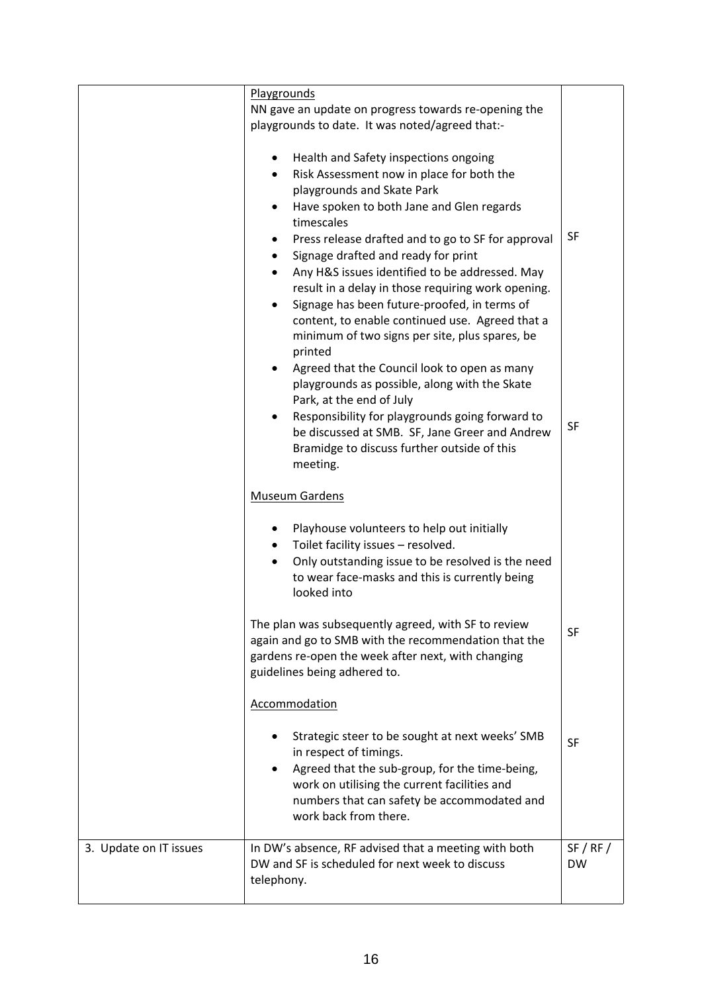|                        | Playgrounds                                                                                                                                                                                                                                                                                                                                                                                                                                                                                                                                                                                                                                                                             |                        |
|------------------------|-----------------------------------------------------------------------------------------------------------------------------------------------------------------------------------------------------------------------------------------------------------------------------------------------------------------------------------------------------------------------------------------------------------------------------------------------------------------------------------------------------------------------------------------------------------------------------------------------------------------------------------------------------------------------------------------|------------------------|
|                        | NN gave an update on progress towards re-opening the                                                                                                                                                                                                                                                                                                                                                                                                                                                                                                                                                                                                                                    |                        |
|                        |                                                                                                                                                                                                                                                                                                                                                                                                                                                                                                                                                                                                                                                                                         |                        |
|                        | playgrounds to date. It was noted/agreed that:-<br>Health and Safety inspections ongoing<br>Risk Assessment now in place for both the<br>$\bullet$<br>playgrounds and Skate Park<br>Have spoken to both Jane and Glen regards<br>$\bullet$<br>timescales<br>Press release drafted and to go to SF for approval<br>Signage drafted and ready for print<br>٠<br>Any H&S issues identified to be addressed. May<br>٠<br>result in a delay in those requiring work opening.<br>Signage has been future-proofed, in terms of<br>content, to enable continued use. Agreed that a<br>minimum of two signs per site, plus spares, be<br>printed<br>Agreed that the Council look to open as many | SF                     |
|                        | playgrounds as possible, along with the Skate<br>Park, at the end of July<br>Responsibility for playgrounds going forward to<br>$\bullet$<br>be discussed at SMB. SF, Jane Greer and Andrew<br>Bramidge to discuss further outside of this<br>meeting.                                                                                                                                                                                                                                                                                                                                                                                                                                  | SF                     |
|                        | <b>Museum Gardens</b>                                                                                                                                                                                                                                                                                                                                                                                                                                                                                                                                                                                                                                                                   |                        |
|                        | Playhouse volunteers to help out initially<br>$\bullet$<br>Toilet facility issues - resolved.<br>٠<br>Only outstanding issue to be resolved is the need<br>$\bullet$<br>to wear face-masks and this is currently being<br>looked into                                                                                                                                                                                                                                                                                                                                                                                                                                                   |                        |
|                        | The plan was subsequently agreed, with SF to review<br>again and go to SMB with the recommendation that the<br>gardens re-open the week after next, with changing<br>guidelines being adhered to.                                                                                                                                                                                                                                                                                                                                                                                                                                                                                       | SF                     |
|                        | Accommodation                                                                                                                                                                                                                                                                                                                                                                                                                                                                                                                                                                                                                                                                           |                        |
|                        | Strategic steer to be sought at next weeks' SMB<br>in respect of timings.<br>Agreed that the sub-group, for the time-being,<br>work on utilising the current facilities and<br>numbers that can safety be accommodated and<br>work back from there.                                                                                                                                                                                                                                                                                                                                                                                                                                     | SF                     |
| 3. Update on IT issues | In DW's absence, RF advised that a meeting with both<br>DW and SF is scheduled for next week to discuss<br>telephony.                                                                                                                                                                                                                                                                                                                                                                                                                                                                                                                                                                   | SF / RF /<br><b>DW</b> |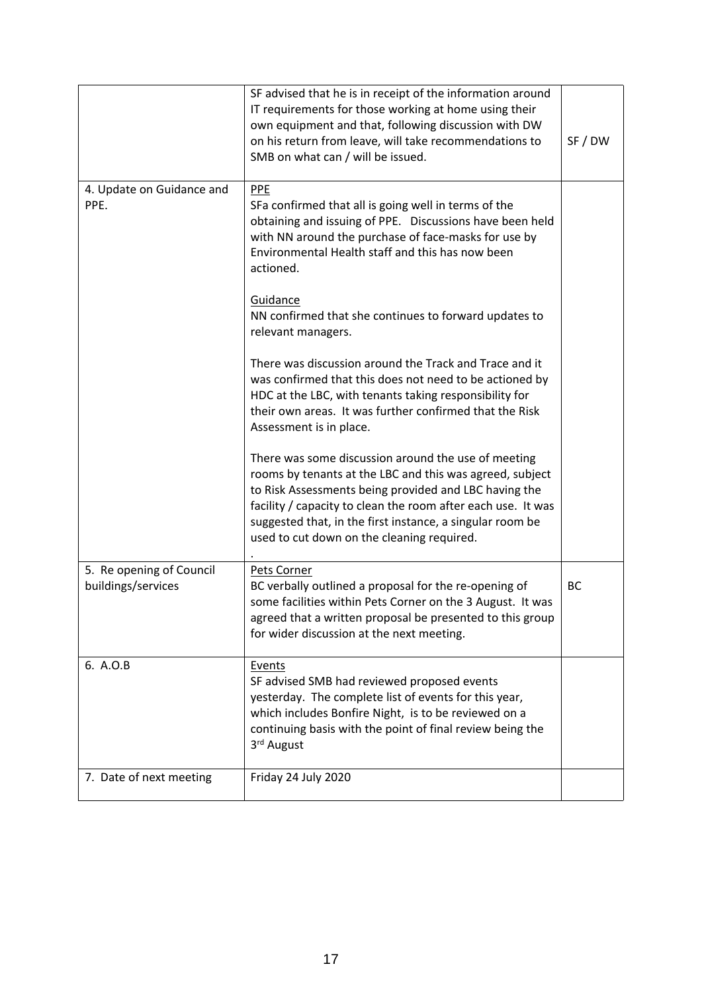|                                                | SF advised that he is in receipt of the information around<br>IT requirements for those working at home using their<br>own equipment and that, following discussion with DW<br>on his return from leave, will take recommendations to<br>SMB on what can / will be issued.                                                                          | SF/DW     |
|------------------------------------------------|-----------------------------------------------------------------------------------------------------------------------------------------------------------------------------------------------------------------------------------------------------------------------------------------------------------------------------------------------------|-----------|
| 4. Update on Guidance and<br>PPE.              | <b>PPE</b><br>SFa confirmed that all is going well in terms of the<br>obtaining and issuing of PPE. Discussions have been held<br>with NN around the purchase of face-masks for use by<br>Environmental Health staff and this has now been<br>actioned.                                                                                             |           |
|                                                | Guidance<br>NN confirmed that she continues to forward updates to<br>relevant managers.                                                                                                                                                                                                                                                             |           |
|                                                | There was discussion around the Track and Trace and it<br>was confirmed that this does not need to be actioned by<br>HDC at the LBC, with tenants taking responsibility for<br>their own areas. It was further confirmed that the Risk<br>Assessment is in place.                                                                                   |           |
|                                                | There was some discussion around the use of meeting<br>rooms by tenants at the LBC and this was agreed, subject<br>to Risk Assessments being provided and LBC having the<br>facility / capacity to clean the room after each use. It was<br>suggested that, in the first instance, a singular room be<br>used to cut down on the cleaning required. |           |
| 5. Re opening of Council<br>buildings/services | Pets Corner<br>BC verbally outlined a proposal for the re-opening of<br>some facilities within Pets Corner on the 3 August. It was<br>agreed that a written proposal be presented to this group<br>for wider discussion at the next meeting.                                                                                                        | <b>BC</b> |
| 6. A.O.B                                       | Events<br>SF advised SMB had reviewed proposed events<br>yesterday. The complete list of events for this year,<br>which includes Bonfire Night, is to be reviewed on a<br>continuing basis with the point of final review being the<br>3rd August                                                                                                   |           |
| 7. Date of next meeting                        | Friday 24 July 2020                                                                                                                                                                                                                                                                                                                                 |           |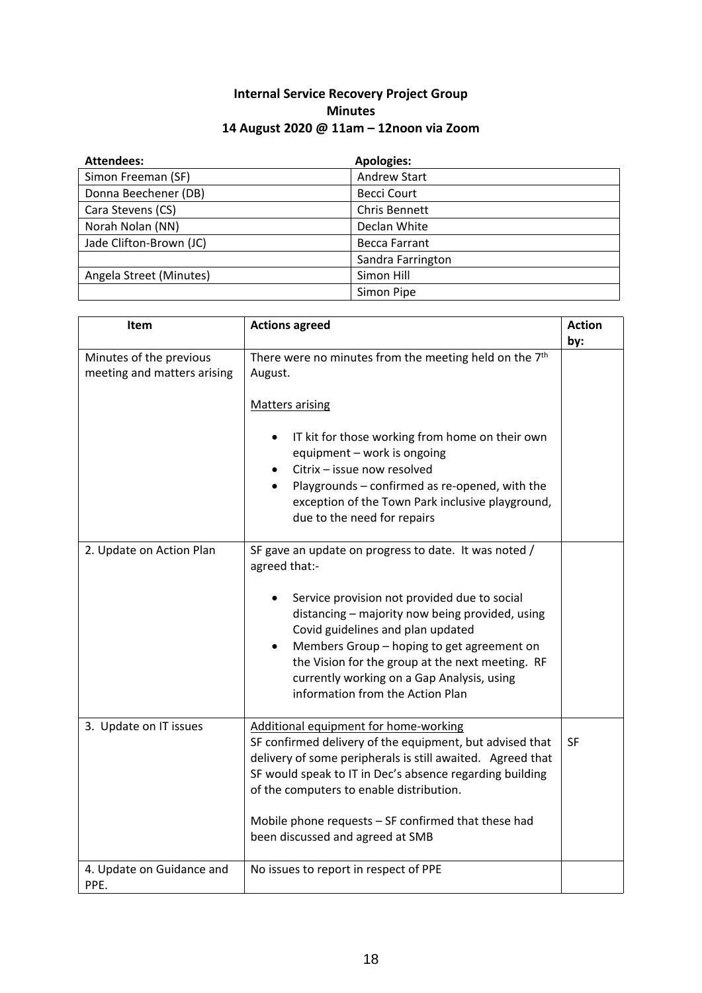## **Internal Service Recovery Project Group Minutes 14 August 2020 @ 11am – 12noon via Zoom**

| Attendees:              | <b>Apologies:</b>    |
|-------------------------|----------------------|
| Simon Freeman (SF)      | <b>Andrew Start</b>  |
| Donna Beechener (DB)    | <b>Becci Court</b>   |
| Cara Stevens (CS)       | <b>Chris Bennett</b> |
| Norah Nolan (NN)        | Declan White         |
| Jade Clifton-Brown (JC) | Becca Farrant        |
|                         | Sandra Farrington    |
| Angela Street (Minutes) | Simon Hill           |
|                         | Simon Pipe           |

| <b>Item</b>                                            | <b>Actions agreed</b>                                                                                                                                                                                                                                                                                                    | <b>Action</b><br>by: |
|--------------------------------------------------------|--------------------------------------------------------------------------------------------------------------------------------------------------------------------------------------------------------------------------------------------------------------------------------------------------------------------------|----------------------|
| Minutes of the previous<br>meeting and matters arising | There were no minutes from the meeting held on the 7 <sup>th</sup><br>August.                                                                                                                                                                                                                                            |                      |
|                                                        | <b>Matters arising</b>                                                                                                                                                                                                                                                                                                   |                      |
|                                                        | IT kit for those working from home on their own<br>equipment - work is ongoing                                                                                                                                                                                                                                           |                      |
|                                                        | Citrix - issue now resolved<br>Playgrounds - confirmed as re-opened, with the<br>exception of the Town Park inclusive playground,<br>due to the need for repairs                                                                                                                                                         |                      |
| 2. Update on Action Plan                               | SF gave an update on progress to date. It was noted /<br>agreed that:-                                                                                                                                                                                                                                                   |                      |
|                                                        | Service provision not provided due to social<br>distancing - majority now being provided, using<br>Covid guidelines and plan updated<br>Members Group - hoping to get agreement on<br>the Vision for the group at the next meeting. RF<br>currently working on a Gap Analysis, using<br>information from the Action Plan |                      |
| 3. Update on IT issues                                 | Additional equipment for home-working<br>SF confirmed delivery of the equipment, but advised that<br>delivery of some peripherals is still awaited. Agreed that<br>SF would speak to IT in Dec's absence regarding building<br>of the computers to enable distribution.                                                  | <b>SF</b>            |
|                                                        | Mobile phone requests - SF confirmed that these had<br>been discussed and agreed at SMB                                                                                                                                                                                                                                  |                      |
| 4. Update on Guidance and<br>PPE.                      | No issues to report in respect of PPE                                                                                                                                                                                                                                                                                    |                      |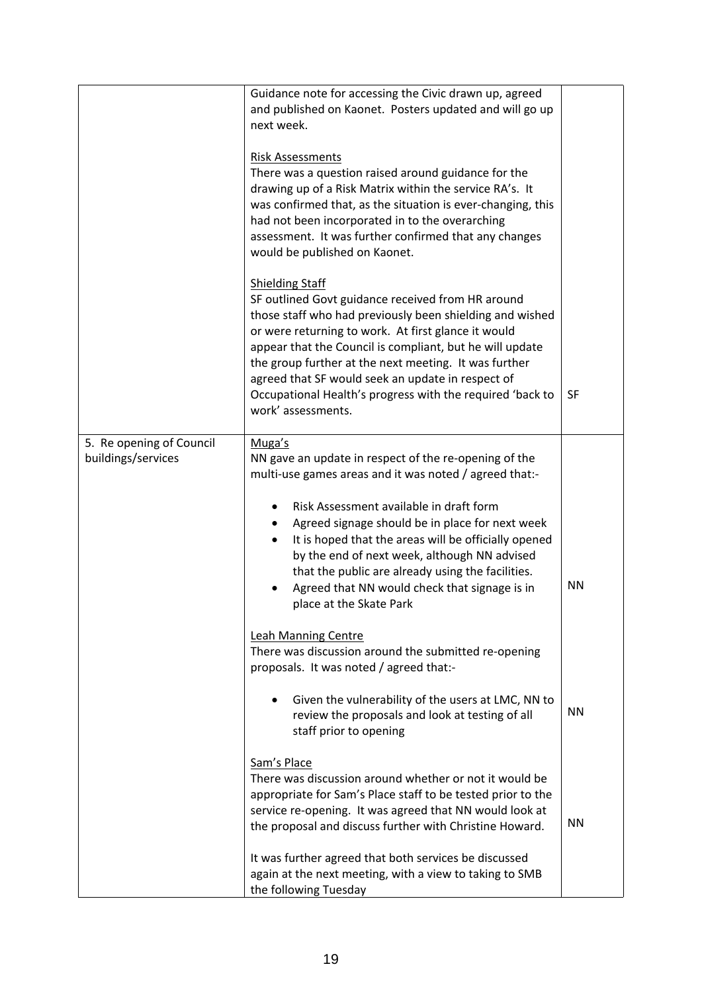|                                                | Guidance note for accessing the Civic drawn up, agreed<br>and published on Kaonet. Posters updated and will go up<br>next week.<br><b>Risk Assessments</b><br>There was a question raised around guidance for the<br>drawing up of a Risk Matrix within the service RA's. It<br>was confirmed that, as the situation is ever-changing, this<br>had not been incorporated in to the overarching<br>assessment. It was further confirmed that any changes<br>would be published on Kaonet.<br><b>Shielding Staff</b><br>SF outlined Govt guidance received from HR around<br>those staff who had previously been shielding and wished<br>or were returning to work. At first glance it would |           |
|------------------------------------------------|--------------------------------------------------------------------------------------------------------------------------------------------------------------------------------------------------------------------------------------------------------------------------------------------------------------------------------------------------------------------------------------------------------------------------------------------------------------------------------------------------------------------------------------------------------------------------------------------------------------------------------------------------------------------------------------------|-----------|
|                                                | appear that the Council is compliant, but he will update<br>the group further at the next meeting. It was further<br>agreed that SF would seek an update in respect of<br>Occupational Health's progress with the required 'back to<br>work' assessments.                                                                                                                                                                                                                                                                                                                                                                                                                                  | <b>SF</b> |
| 5. Re opening of Council<br>buildings/services | Muga's<br>NN gave an update in respect of the re-opening of the<br>multi-use games areas and it was noted / agreed that:-<br>Risk Assessment available in draft form<br>Agreed signage should be in place for next week<br>٠<br>It is hoped that the areas will be officially opened<br>$\bullet$<br>by the end of next week, although NN advised<br>that the public are already using the facilities.<br>Agreed that NN would check that signage is in                                                                                                                                                                                                                                    | ΝN        |
|                                                | place at the Skate Park<br><b>Leah Manning Centre</b><br>There was discussion around the submitted re-opening<br>proposals. It was noted / agreed that:-<br>Given the vulnerability of the users at LMC, NN to<br>review the proposals and look at testing of all                                                                                                                                                                                                                                                                                                                                                                                                                          | <b>NN</b> |
|                                                | staff prior to opening<br>Sam's Place<br>There was discussion around whether or not it would be<br>appropriate for Sam's Place staff to be tested prior to the<br>service re-opening. It was agreed that NN would look at<br>the proposal and discuss further with Christine Howard.<br>It was further agreed that both services be discussed<br>again at the next meeting, with a view to taking to SMB<br>the following Tuesday                                                                                                                                                                                                                                                          | ΝN        |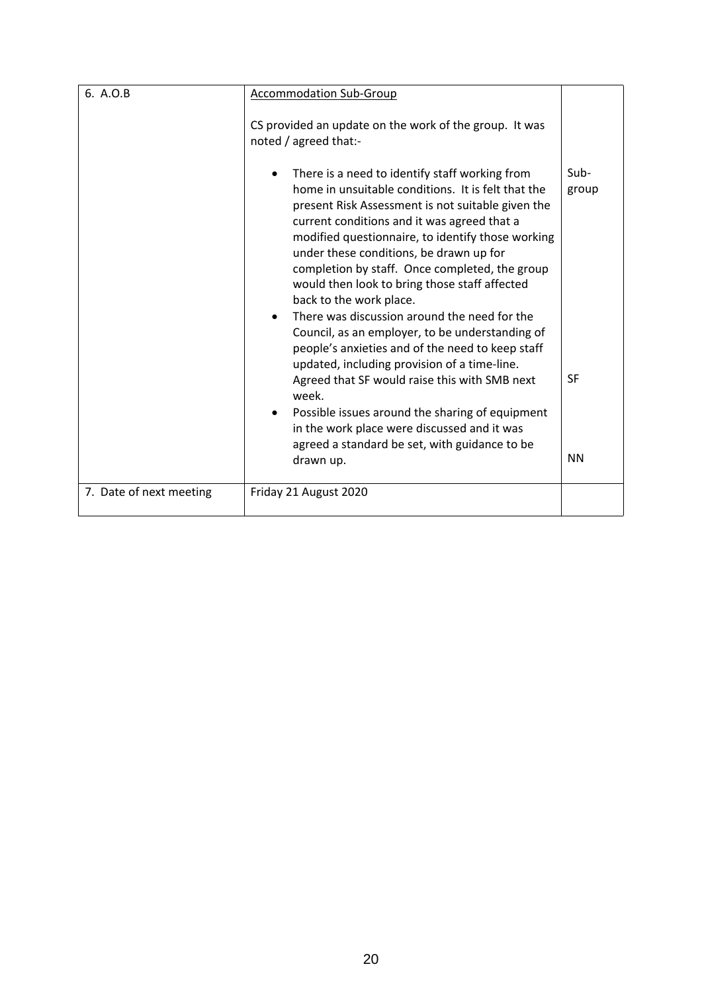| 6. A.O.B                | <b>Accommodation Sub-Group</b>                                                                                                                                                                                                                                                                                                                                                                                                                                                                                                                                                                                                                                                                                                                                                                                                                             |                       |
|-------------------------|------------------------------------------------------------------------------------------------------------------------------------------------------------------------------------------------------------------------------------------------------------------------------------------------------------------------------------------------------------------------------------------------------------------------------------------------------------------------------------------------------------------------------------------------------------------------------------------------------------------------------------------------------------------------------------------------------------------------------------------------------------------------------------------------------------------------------------------------------------|-----------------------|
|                         | CS provided an update on the work of the group. It was<br>noted / agreed that:-                                                                                                                                                                                                                                                                                                                                                                                                                                                                                                                                                                                                                                                                                                                                                                            |                       |
|                         | There is a need to identify staff working from<br>home in unsuitable conditions. It is felt that the<br>present Risk Assessment is not suitable given the<br>current conditions and it was agreed that a<br>modified questionnaire, to identify those working<br>under these conditions, be drawn up for<br>completion by staff. Once completed, the group<br>would then look to bring those staff affected<br>back to the work place.<br>There was discussion around the need for the<br>Council, as an employer, to be understanding of<br>people's anxieties and of the need to keep staff<br>updated, including provision of a time-line.<br>Agreed that SF would raise this with SMB next<br>week.<br>Possible issues around the sharing of equipment<br>in the work place were discussed and it was<br>agreed a standard be set, with guidance to be | $Sub-$<br>group<br>SF |
|                         | drawn up.                                                                                                                                                                                                                                                                                                                                                                                                                                                                                                                                                                                                                                                                                                                                                                                                                                                  | <b>NN</b>             |
| 7. Date of next meeting | Friday 21 August 2020                                                                                                                                                                                                                                                                                                                                                                                                                                                                                                                                                                                                                                                                                                                                                                                                                                      |                       |